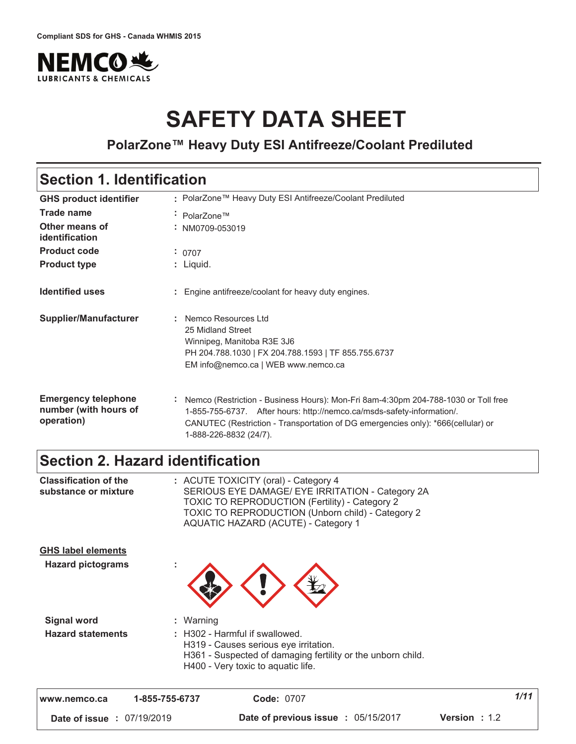

# **SAFETY DATA SHEET**

**PolarZone™ Heavy Duty ESI Antifreeze/Coolant Prediluted**

### **Section 1. Identification**

| <b>GHS product identifier</b>                                     | : PolarZone™ Heavy Duty ESI Antifreeze/Coolant Prediluted                                                                                                                                                                                                                  |
|-------------------------------------------------------------------|----------------------------------------------------------------------------------------------------------------------------------------------------------------------------------------------------------------------------------------------------------------------------|
| <b>Trade name</b>                                                 | ÷ PolarZone™                                                                                                                                                                                                                                                               |
| Other means of<br>identification                                  | $:$ NM0709-053019                                                                                                                                                                                                                                                          |
| <b>Product code</b>                                               | : 0707                                                                                                                                                                                                                                                                     |
| <b>Product type</b>                                               | : Liquid.                                                                                                                                                                                                                                                                  |
| <b>Identified uses</b>                                            | : Engine antifreeze/coolant for heavy duty engines.                                                                                                                                                                                                                        |
| <b>Supplier/Manufacturer</b>                                      | : Nemco Resources Ltd<br>25 Midland Street<br>Winnipeg, Manitoba R3E 3J6<br>PH 204.788.1030   FX 204.788.1593   TF 855.755.6737<br>EM info@nemco.ca   WEB www.nemco.ca                                                                                                     |
| <b>Emergency telephone</b><br>number (with hours of<br>operation) | Nemco (Restriction - Business Hours): Mon-Fri 8am-4:30pm 204-788-1030 or Toll free<br>1-855-755-6737. After hours: http://nemco.ca/msds-safety-information/.<br>CANUTEC (Restriction - Transportation of DG emergencies only): *666(cellular) or<br>1-888-226-8832 (24/7). |

### **Section 2. Hazard identification**

| www.nemco.ca                                          | 1-855-755-6737<br><b>Code: 0707</b>                                                                                                                                                                                                           | 1/11 |
|-------------------------------------------------------|-----------------------------------------------------------------------------------------------------------------------------------------------------------------------------------------------------------------------------------------------|------|
| <b>Hazard statements</b>                              | : H302 - Harmful if swallowed.<br>H319 - Causes serious eye irritation.<br>H361 - Suspected of damaging fertility or the unborn child.<br>H400 - Very toxic to aquatic life.                                                                  |      |
| <b>Signal word</b>                                    | : Warning                                                                                                                                                                                                                                     |      |
| <b>GHS label elements</b><br><b>Hazard pictograms</b> | ÷                                                                                                                                                                                                                                             |      |
| <b>Classification of the</b><br>substance or mixture  | : ACUTE TOXICITY (oral) - Category 4<br>SERIOUS EYE DAMAGE/ EYE IRRITATION - Category 2A<br><b>TOXIC TO REPRODUCTION (Fertility) - Category 2</b><br>TOXIC TO REPRODUCTION (Unborn child) - Category 2<br>AQUATIC HAZARD (ACUTE) - Category 1 |      |

**Date of issue :** 07/19/2019 **12.6 Pat Date of previous issue : 05/15/2017 Version : 1.2**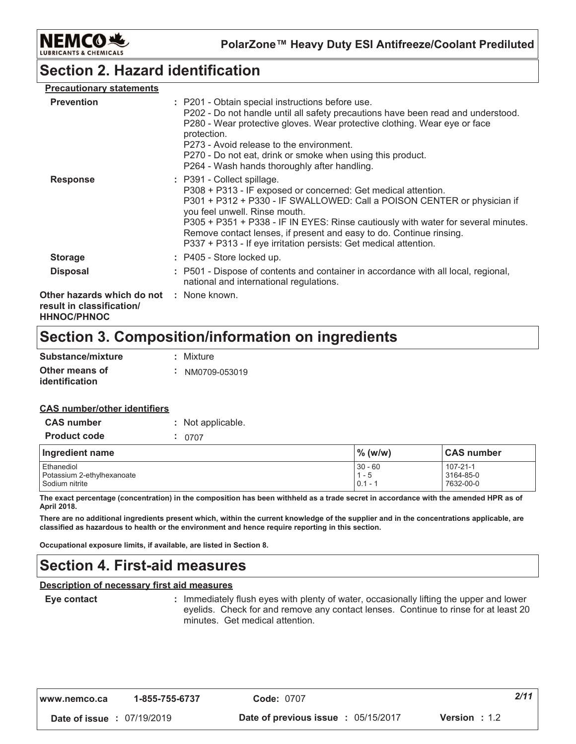

PolarZone™ Heavy Duty ESI Antifreeze/Coolant Prediluted

# **Section 2. Hazard identification**

| <b>Precautionary statements</b>                                               |                                                                                                                                                                                                                                                                                                                                                                                                                                         |
|-------------------------------------------------------------------------------|-----------------------------------------------------------------------------------------------------------------------------------------------------------------------------------------------------------------------------------------------------------------------------------------------------------------------------------------------------------------------------------------------------------------------------------------|
| <b>Prevention</b>                                                             | : P201 - Obtain special instructions before use.<br>P202 - Do not handle until all safety precautions have been read and understood.<br>P280 - Wear protective gloves. Wear protective clothing. Wear eye or face<br>protection.<br>P273 - Avoid release to the environment.<br>P270 - Do not eat, drink or smoke when using this product.<br>P264 - Wash hands thoroughly after handling.                                              |
| <b>Response</b>                                                               | : P391 - Collect spillage.<br>P308 + P313 - IF exposed or concerned: Get medical attention.<br>P301 + P312 + P330 - IF SWALLOWED: Call a POISON CENTER or physician if<br>you feel unwell. Rinse mouth.<br>P305 + P351 + P338 - IF IN EYES: Rinse cautiously with water for several minutes.<br>Remove contact lenses, if present and easy to do. Continue rinsing.<br>P337 + P313 - If eye irritation persists: Get medical attention. |
| <b>Storage</b>                                                                | : P405 - Store locked up.                                                                                                                                                                                                                                                                                                                                                                                                               |
| <b>Disposal</b>                                                               | : P501 - Dispose of contents and container in accordance with all local, regional,<br>national and international regulations.                                                                                                                                                                                                                                                                                                           |
| Other hazards which do not<br>result in classification/<br><b>HHNOC/PHNOC</b> | : None known.                                                                                                                                                                                                                                                                                                                                                                                                                           |

### Section 3. Composition/information on ingredients

| Substance/mixture                       | : Mixture       |
|-----------------------------------------|-----------------|
| Other means of<br><i>identification</i> | : NM0709-053019 |

#### **CAS number/other identifiers**

| <b>CAS number</b>                                          | : Not applicable. |                                   |                                    |  |
|------------------------------------------------------------|-------------------|-----------------------------------|------------------------------------|--|
| <b>Product code</b>                                        | 0707              |                                   |                                    |  |
| Ingredient name                                            |                   | $\%$ (w/w)                        | <b>CAS</b> number                  |  |
| Ethanediol<br>Potassium 2-ethylhexanoate<br>Sodium nitrite |                   | $30 - 60$<br>$1 - 5$<br>$0.1 - 7$ | 107-21-1<br>3164-85-0<br>7632-00-0 |  |

The exact percentage (concentration) in the composition has been withheld as a trade secret in accordance with the amended HPR as of April 2018.

There are no additional ingredients present which, within the current knowledge of the supplier and in the concentrations applicable, are classified as hazardous to health or the environment and hence require reporting in this section.

Occupational exposure limits, if available, are listed in Section 8.

### **Section 4. First-aid measures**

#### **Description of necessary first aid measures**

Eye contact

: Immediately flush eyes with plenty of water, occasionally lifting the upper and lower eyelids. Check for and remove any contact lenses. Continue to rinse for at least 20 minutes. Get medical attention.

| www.nemco.ca |  |
|--------------|--|
|              |  |

Date of issue : 07/19/2019

Date of previous issue : 05/15/2017

 $2/11$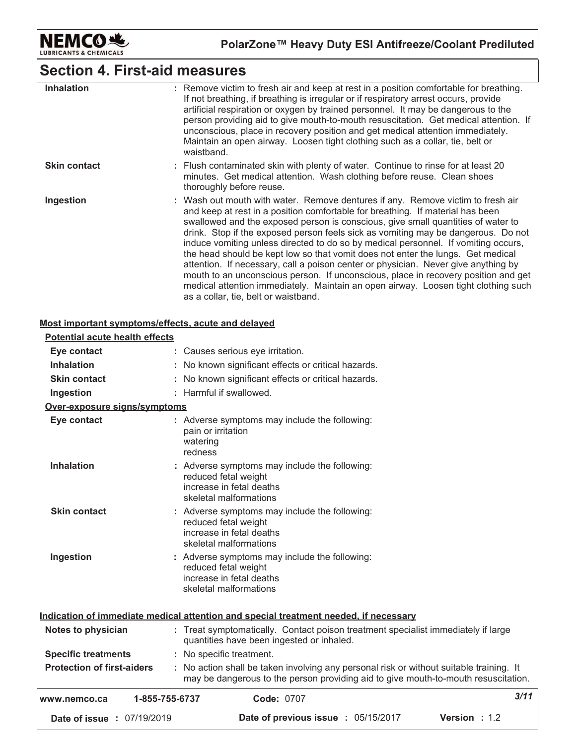

## **Section 4. First-aid measures**

| <b>Inhalation</b>   | : Remove victim to fresh air and keep at rest in a position comfortable for breathing.<br>If not breathing, if breathing is irregular or if respiratory arrest occurs, provide<br>artificial respiration or oxygen by trained personnel. It may be dangerous to the<br>person providing aid to give mouth-to-mouth resuscitation. Get medical attention. If<br>unconscious, place in recovery position and get medical attention immediately.<br>Maintain an open airway. Loosen tight clothing such as a collar, tie, belt or<br>waistband.                                                                                                                                                                                                                                                                                  |
|---------------------|-------------------------------------------------------------------------------------------------------------------------------------------------------------------------------------------------------------------------------------------------------------------------------------------------------------------------------------------------------------------------------------------------------------------------------------------------------------------------------------------------------------------------------------------------------------------------------------------------------------------------------------------------------------------------------------------------------------------------------------------------------------------------------------------------------------------------------|
| <b>Skin contact</b> | : Flush contaminated skin with plenty of water. Continue to rinse for at least 20<br>minutes. Get medical attention. Wash clothing before reuse. Clean shoes<br>thoroughly before reuse.                                                                                                                                                                                                                                                                                                                                                                                                                                                                                                                                                                                                                                      |
| Ingestion           | : Wash out mouth with water. Remove dentures if any. Remove victim to fresh air<br>and keep at rest in a position comfortable for breathing. If material has been<br>swallowed and the exposed person is conscious, give small quantities of water to<br>drink. Stop if the exposed person feels sick as vomiting may be dangerous. Do not<br>induce vomiting unless directed to do so by medical personnel. If vomiting occurs,<br>the head should be kept low so that vomit does not enter the lungs. Get medical<br>attention. If necessary, call a poison center or physician. Never give anything by<br>mouth to an unconscious person. If unconscious, place in recovery position and get<br>medical attention immediately. Maintain an open airway. Loosen tight clothing such<br>as a collar, tie, belt or waistband. |

#### Most important symptoms/effects, acute and delayed

| <b>Potential acute health effects</b> |                                                                                                                                                                               |      |
|---------------------------------------|-------------------------------------------------------------------------------------------------------------------------------------------------------------------------------|------|
| Eye contact                           | : Causes serious eye irritation.                                                                                                                                              |      |
| <b>Inhalation</b>                     | : No known significant effects or critical hazards.                                                                                                                           |      |
| <b>Skin contact</b>                   | : No known significant effects or critical hazards.                                                                                                                           |      |
| Ingestion                             | : Harmful if swallowed.                                                                                                                                                       |      |
| Over-exposure signs/symptoms          |                                                                                                                                                                               |      |
| Eye contact                           | : Adverse symptoms may include the following:<br>pain or irritation<br>watering<br>redness                                                                                    |      |
| <b>Inhalation</b>                     | : Adverse symptoms may include the following:<br>reduced fetal weight<br>increase in fetal deaths<br>skeletal malformations                                                   |      |
| <b>Skin contact</b>                   | : Adverse symptoms may include the following:<br>reduced fetal weight<br>increase in fetal deaths<br>skeletal malformations                                                   |      |
| Ingestion                             | : Adverse symptoms may include the following:<br>reduced fetal weight<br>increase in fetal deaths<br>skeletal malformations                                                   |      |
|                                       | Indication of immediate medical attention and special treatment needed, if necessary                                                                                          |      |
| Notes to physician                    | : Treat symptomatically. Contact poison treatment specialist immediately if large<br>quantities have been ingested or inhaled.                                                |      |
| <b>Specific treatments</b>            | : No specific treatment.                                                                                                                                                      |      |
| <b>Protection of first-aiders</b>     | : No action shall be taken involving any personal risk or without suitable training. It<br>may be dangerous to the person providing aid to give mouth-to-mouth resuscitation. |      |
| 1-855-755-6737<br>www.nemco.ca        | <b>Code: 0707</b>                                                                                                                                                             | 3/11 |
| <b>Date of issue : 07/19/2019</b>     | <b>Date of previous issue : 05/15/2017</b><br><b>Version: 1.2</b>                                                                                                             |      |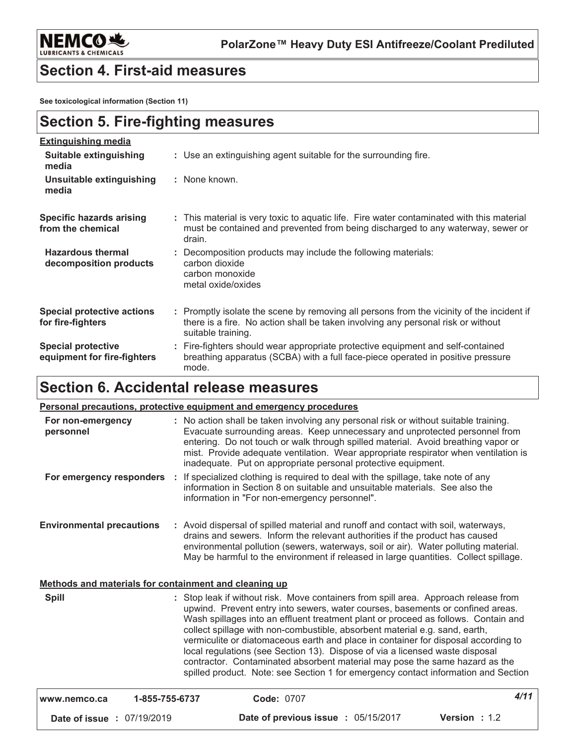

LUBRICA

### **Section 4. First-aid measures**

See toxicological information (Section 11)

| <b>Section 5. Fire-fighting measures</b>                 |                                                                                                                                                                                                     |  |  |
|----------------------------------------------------------|-----------------------------------------------------------------------------------------------------------------------------------------------------------------------------------------------------|--|--|
| <b>Extinguishing media</b>                               |                                                                                                                                                                                                     |  |  |
| <b>Suitable extinguishing</b><br>media                   | : Use an extinguishing agent suitable for the surrounding fire.                                                                                                                                     |  |  |
| Unsuitable extinguishing<br>media                        | : None known.                                                                                                                                                                                       |  |  |
| <b>Specific hazards arising</b><br>from the chemical     | : This material is very toxic to aquatic life. Fire water contaminated with this material<br>must be contained and prevented from being discharged to any waterway, sewer or<br>drain.              |  |  |
| <b>Hazardous thermal</b><br>decomposition products       | Decomposition products may include the following materials:<br>carbon dioxide<br>carbon monoxide<br>metal oxide/oxides                                                                              |  |  |
| <b>Special protective actions</b><br>for fire-fighters   | : Promptly isolate the scene by removing all persons from the vicinity of the incident if<br>there is a fire. No action shall be taken involving any personal risk or without<br>suitable training. |  |  |
| <b>Special protective</b><br>equipment for fire-fighters | Fire-fighters should wear appropriate protective equipment and self-contained<br>breathing apparatus (SCBA) with a full face-piece operated in positive pressure<br>mode.                           |  |  |

# Section 6. Accidental release measures

|                                                       | <b>Personal precautions, protective equipment and emergency procedures</b>                                                                                                                                                                                                                                                                                                                                                                                                                                                                                                                                                                                                            |
|-------------------------------------------------------|---------------------------------------------------------------------------------------------------------------------------------------------------------------------------------------------------------------------------------------------------------------------------------------------------------------------------------------------------------------------------------------------------------------------------------------------------------------------------------------------------------------------------------------------------------------------------------------------------------------------------------------------------------------------------------------|
| For non-emergency<br>personnel                        | : No action shall be taken involving any personal risk or without suitable training.<br>Evacuate surrounding areas. Keep unnecessary and unprotected personnel from<br>entering. Do not touch or walk through spilled material. Avoid breathing vapor or<br>mist. Provide adequate ventilation. Wear appropriate respirator when ventilation is<br>inadequate. Put on appropriate personal protective equipment.                                                                                                                                                                                                                                                                      |
| For emergency responders                              | : If specialized clothing is required to deal with the spillage, take note of any<br>information in Section 8 on suitable and unsuitable materials. See also the<br>information in "For non-emergency personnel".                                                                                                                                                                                                                                                                                                                                                                                                                                                                     |
| <b>Environmental precautions</b>                      | : Avoid dispersal of spilled material and runoff and contact with soil, waterways,<br>drains and sewers. Inform the relevant authorities if the product has caused<br>environmental pollution (sewers, waterways, soil or air). Water polluting material.<br>May be harmful to the environment if released in large quantities. Collect spillage.                                                                                                                                                                                                                                                                                                                                     |
| Methods and materials for containment and cleaning up |                                                                                                                                                                                                                                                                                                                                                                                                                                                                                                                                                                                                                                                                                       |
| <b>Spill</b>                                          | : Stop leak if without risk. Move containers from spill area. Approach release from<br>upwind. Prevent entry into sewers, water courses, basements or confined areas.<br>Wash spillages into an effluent treatment plant or proceed as follows. Contain and<br>collect spillage with non-combustible, absorbent material e.g. sand, earth,<br>vermiculite or diatomaceous earth and place in container for disposal according to<br>local regulations (see Section 13). Dispose of via a licensed waste disposal<br>contractor. Contaminated absorbent material may pose the same hazard as the<br>spilled product. Note: see Section 1 for emergency contact information and Section |

| www.nemco.ca                      | 1-855-755-6737 | <b>Code: 0707</b>                   |                        | 4/11 |
|-----------------------------------|----------------|-------------------------------------|------------------------|------|
| <b>Date of issue : 07/19/2019</b> |                | Date of previous issue : 05/15/2017 | <b>Version</b> : $1.2$ |      |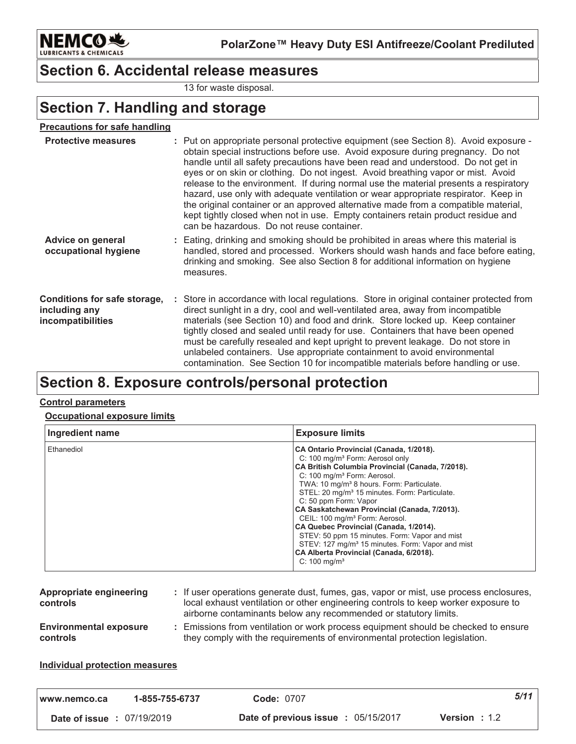

### **Section 6. Accidental release measures**

13 for waste disposal.

# **Section 7. Handling and storage**

| <b>Protective measures</b>                                         | : Put on appropriate personal protective equipment (see Section 8). Avoid exposure -<br>obtain special instructions before use. Avoid exposure during pregnancy. Do not<br>handle until all safety precautions have been read and understood. Do not get in<br>eyes or on skin or clothing. Do not ingest. Avoid breathing vapor or mist. Avoid<br>release to the environment. If during normal use the material presents a respiratory<br>hazard, use only with adequate ventilation or wear appropriate respirator. Keep in<br>the original container or an approved alternative made from a compatible material,<br>kept tightly closed when not in use. Empty containers retain product residue and<br>can be hazardous. Do not reuse container. |
|--------------------------------------------------------------------|------------------------------------------------------------------------------------------------------------------------------------------------------------------------------------------------------------------------------------------------------------------------------------------------------------------------------------------------------------------------------------------------------------------------------------------------------------------------------------------------------------------------------------------------------------------------------------------------------------------------------------------------------------------------------------------------------------------------------------------------------|
| <b>Advice on general</b><br>occupational hygiene                   | : Eating, drinking and smoking should be prohibited in areas where this material is<br>handled, stored and processed. Workers should wash hands and face before eating,<br>drinking and smoking. See also Section 8 for additional information on hygiene<br>measures.                                                                                                                                                                                                                                                                                                                                                                                                                                                                               |
| Conditions for safe storage,<br>including any<br>incompatibilities | : Store in accordance with local regulations. Store in original container protected from<br>direct sunlight in a dry, cool and well-ventilated area, away from incompatible<br>materials (see Section 10) and food and drink. Store locked up. Keep container<br>tightly closed and sealed until ready for use. Containers that have been opened<br>must be carefully resealed and kept upright to prevent leakage. Do not store in<br>unlabeled containers. Use appropriate containment to avoid environmental<br>contamination. See Section 10 for incompatible materials before handling or use.                                                                                                                                                  |

### Section 8. Exposure controls/personal protection

#### **Control parameters**

#### **Occupational exposure limits**

| Ingredient name | <b>Exposure limits</b>                                                                                                                                                                                                                                                                                                                                                                                                                                                                                                                                                                                                                                                 |
|-----------------|------------------------------------------------------------------------------------------------------------------------------------------------------------------------------------------------------------------------------------------------------------------------------------------------------------------------------------------------------------------------------------------------------------------------------------------------------------------------------------------------------------------------------------------------------------------------------------------------------------------------------------------------------------------------|
| Ethanediol      | CA Ontario Provincial (Canada, 1/2018).<br>C: 100 mg/m <sup>3</sup> Form: Aerosol only<br>CA British Columbia Provincial (Canada, 7/2018).<br>C: 100 mg/m <sup>3</sup> Form: Aerosol.<br>TWA: 10 mg/m <sup>3</sup> 8 hours. Form: Particulate.<br>STEL: 20 mg/m <sup>3</sup> 15 minutes. Form: Particulate.<br>C: 50 ppm Form: Vapor<br>CA Saskatchewan Provincial (Canada, 7/2013).<br>CEIL: 100 mg/m <sup>3</sup> Form: Aerosol.<br>CA Quebec Provincial (Canada, 1/2014).<br>STEV: 50 ppm 15 minutes. Form: Vapor and mist<br>STEV: 127 mg/m <sup>3</sup> 15 minutes. Form: Vapor and mist<br>CA Alberta Provincial (Canada, 6/2018).<br>$C: 100$ mg/m <sup>3</sup> |

| Appropriate engineering<br><b>controls</b>       | : If user operations generate dust, fumes, gas, vapor or mist, use process enclosures,<br>local exhaust ventilation or other engineering controls to keep worker exposure to<br>airborne contaminants below any recommended or statutory limits. |
|--------------------------------------------------|--------------------------------------------------------------------------------------------------------------------------------------------------------------------------------------------------------------------------------------------------|
| <b>Environmental exposure</b><br><b>controls</b> | Emissions from ventilation or work process equipment should be checked to ensure<br>they comply with the requirements of environmental protection legislation.                                                                                   |

#### **Individual protection measures**

| I www.nemco.ca                    | 1-855-755-6737 | <b>Code: 0707</b>                          | 5/11                 |
|-----------------------------------|----------------|--------------------------------------------|----------------------|
| <b>Date of issue : 07/19/2019</b> |                | <b>Date of previous issue : 05/15/2017</b> | <b>Version</b> : 1.2 |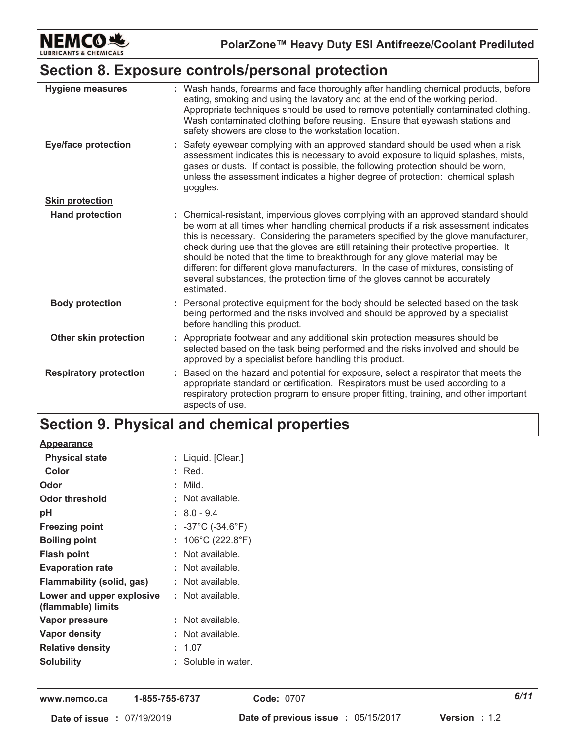

PolarZone™ Heavy Duty ESI Antifreeze/Coolant Prediluted

### Section 8. Exposure controls/personal protection

| <b>Hygiene measures</b>       | : Wash hands, forearms and face thoroughly after handling chemical products, before<br>eating, smoking and using the lavatory and at the end of the working period.<br>Appropriate techniques should be used to remove potentially contaminated clothing.<br>Wash contaminated clothing before reusing. Ensure that eyewash stations and<br>safety showers are close to the workstation location.                                                                                                                                                                                                                         |
|-------------------------------|---------------------------------------------------------------------------------------------------------------------------------------------------------------------------------------------------------------------------------------------------------------------------------------------------------------------------------------------------------------------------------------------------------------------------------------------------------------------------------------------------------------------------------------------------------------------------------------------------------------------------|
| <b>Eye/face protection</b>    | : Safety eyewear complying with an approved standard should be used when a risk<br>assessment indicates this is necessary to avoid exposure to liquid splashes, mists,<br>gases or dusts. If contact is possible, the following protection should be worn,<br>unless the assessment indicates a higher degree of protection: chemical splash<br>goggles.                                                                                                                                                                                                                                                                  |
| <b>Skin protection</b>        |                                                                                                                                                                                                                                                                                                                                                                                                                                                                                                                                                                                                                           |
| <b>Hand protection</b>        | : Chemical-resistant, impervious gloves complying with an approved standard should<br>be worn at all times when handling chemical products if a risk assessment indicates<br>this is necessary. Considering the parameters specified by the glove manufacturer,<br>check during use that the gloves are still retaining their protective properties. It<br>should be noted that the time to breakthrough for any glove material may be<br>different for different glove manufacturers. In the case of mixtures, consisting of<br>several substances, the protection time of the gloves cannot be accurately<br>estimated. |
| <b>Body protection</b>        | : Personal protective equipment for the body should be selected based on the task<br>being performed and the risks involved and should be approved by a specialist<br>before handling this product.                                                                                                                                                                                                                                                                                                                                                                                                                       |
| Other skin protection         | : Appropriate footwear and any additional skin protection measures should be<br>selected based on the task being performed and the risks involved and should be<br>approved by a specialist before handling this product.                                                                                                                                                                                                                                                                                                                                                                                                 |
| <b>Respiratory protection</b> | Based on the hazard and potential for exposure, select a respirator that meets the<br>appropriate standard or certification. Respirators must be used according to a<br>respiratory protection program to ensure proper fitting, training, and other important<br>aspects of use.                                                                                                                                                                                                                                                                                                                                         |

### Section 9. Physical and chemical properties

| <u>Appearance</u>                               |    |                                        |
|-------------------------------------------------|----|----------------------------------------|
| <b>Physical state</b>                           |    | Liquid. [Clear.]                       |
| Color                                           |    | Red.                                   |
| Odor                                            |    | Mild.                                  |
| Odor threshold                                  |    | $:$ Not available.                     |
| рH                                              |    | $: 8.0 - 9.4$                          |
| <b>Freezing point</b>                           |    | : $-37^{\circ}$ C ( $-34.6^{\circ}$ F) |
| <b>Boiling point</b>                            |    | 106°C (222.8°F)                        |
| Flash point                                     |    | Not available.                         |
| <b>Evaporation rate</b>                         |    | Not available.                         |
| Flammability (solid, gas)                       |    | Not available.                         |
| Lower and upper explosive<br>(flammable) limits | t. | Not available.                         |
| Vapor pressure                                  |    | Not available.                         |
| Vapor density                                   |    | Not available.                         |
| <b>Relative density</b>                         |    | 1.07                                   |
| <b>Solubility</b>                               |    | Soluble in water.                      |
|                                                 |    |                                        |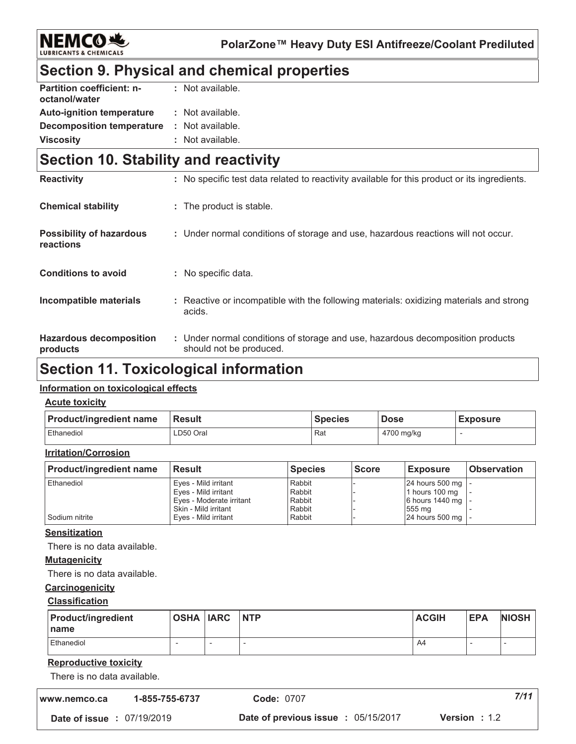

PolarZone™ Heavy Duty ESI Antifreeze/Coolant Prediluted

# Section 9. Physical and chemical properties

| <b>Partition coefficient: n-</b> | : Not available. |
|----------------------------------|------------------|
| octanol/water                    |                  |
| <b>Auto-ignition temperature</b> | : Not available. |
| <b>Decomposition temperature</b> | : Not available. |
| <b>Viscosity</b>                 | : Not available. |

### Section 10. Stability and reactivity

| <b>Reactivity</b>                            | : No specific test data related to reactivity available for this product or its ingredients.              |
|----------------------------------------------|-----------------------------------------------------------------------------------------------------------|
| <b>Chemical stability</b>                    | : The product is stable.                                                                                  |
| <b>Possibility of hazardous</b><br>reactions | : Under normal conditions of storage and use, hazardous reactions will not occur.                         |
| <b>Conditions to avoid</b>                   | : No specific data.                                                                                       |
| Incompatible materials                       | : Reactive or incompatible with the following materials: oxidizing materials and strong<br>acids.         |
| <b>Hazardous decomposition</b><br>products   | : Under normal conditions of storage and use, hazardous decomposition products<br>should not be produced. |

### **Section 11. Toxicological information**

#### Information on toxicological effects

#### **Acute toxicity**

| <b>Product/ingredient name</b> | <b>Result</b> | <b>Species</b> | <b>Dose</b> | <b>Exposure</b> |
|--------------------------------|---------------|----------------|-------------|-----------------|
| Ethanediol                     | LD50 Oral     | Rat            | 4700 mg/kg  |                 |

#### **Irritation/Corrosion**

| <b>Product/ingredient name</b> | <b>Result</b>            | <b>Species</b> | l Score | <b>Exposure</b>             | l Observation |
|--------------------------------|--------------------------|----------------|---------|-----------------------------|---------------|
| <b>Ethanediol</b>              | Eyes - Mild irritant     | Rabbit         |         | $24$ hours 500 mg $\vert$ - |               |
|                                | Eyes - Mild irritant     | Rabbit         |         | 1 hours 100 mg              |               |
|                                | Eyes - Moderate irritant | Rabbit         |         | 6 hours 1440 mg   -         |               |
|                                | Skin - Mild irritant     | Rabbit         |         | 555 mg                      |               |
| Sodium nitrite                 | Eyes - Mild irritant     | Rabbit         |         | 24 hours 500 mg   -         |               |

#### **Sensitization**

There is no data available.

#### **Mutagenicity**

There is no data available.

#### Carcinogenicity

#### **Classification**

| <b>Product/ingredient</b><br><b>Iname</b> | <b>OSHA IARC</b> | <b>NTP</b> | <b>ACGIH</b> | <b>EPA</b> | <b>NIOSH</b> |
|-------------------------------------------|------------------|------------|--------------|------------|--------------|
| Ethanediol                                |                  |            | A4           |            |              |

#### **Reproductive toxicity**

There is no data available.

| www.nemco.ca                      | 1-855-755-6737 | <b>Code: 0707</b>                                                  | 7/11 |
|-----------------------------------|----------------|--------------------------------------------------------------------|------|
| <b>Date of issue : 07/19/2019</b> |                | <b>Date of previous issue : 05/15/2017</b><br><b>Version</b> : 1.2 |      |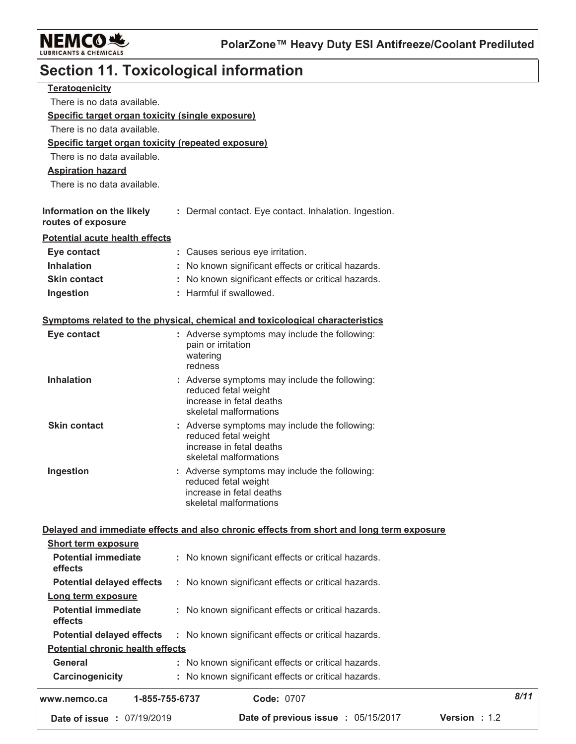

 $8/11$ 

# **Section 11. Toxicological information**

| Date of issue : 07/19/2019                           | Date of previous issue : 05/15/2017<br>Version : 1.2                                                                        |
|------------------------------------------------------|-----------------------------------------------------------------------------------------------------------------------------|
| www.nemco.ca                                         | Code: 0707<br>1-855-755-6737                                                                                                |
| Carcinogenicity                                      | : No known significant effects or critical hazards.                                                                         |
| <b>General</b>                                       | : No known significant effects or critical hazards.                                                                         |
| <b>Potential chronic health effects</b>              |                                                                                                                             |
| <b>Potential delayed effects</b>                     | : No known significant effects or critical hazards.                                                                         |
| <b>Potential immediate</b><br>effects                | : No known significant effects or critical hazards.                                                                         |
| Long term exposure                                   |                                                                                                                             |
| effects<br><b>Potential delayed effects</b>          | : No known significant effects or critical hazards.                                                                         |
| <b>Potential immediate</b>                           | : No known significant effects or critical hazards.                                                                         |
| <b>Short term exposure</b>                           |                                                                                                                             |
|                                                      | Delayed and immediate effects and also chronic effects from short and long term exposure                                    |
| Ingestion                                            | : Adverse symptoms may include the following:<br>reduced fetal weight<br>increase in fetal deaths<br>skeletal malformations |
| <b>Skin contact</b>                                  | : Adverse symptoms may include the following:<br>reduced fetal weight<br>increase in fetal deaths<br>skeletal malformations |
| <b>Inhalation</b>                                    | : Adverse symptoms may include the following:<br>reduced fetal weight<br>increase in fetal deaths<br>skeletal malformations |
| Eye contact                                          | : Adverse symptoms may include the following:<br>pain or irritation<br>watering<br>redness                                  |
|                                                      | Symptoms related to the physical, chemical and toxicological characteristics                                                |
| Ingestion                                            | : Harmful if swallowed.                                                                                                     |
| <b>Skin contact</b>                                  | : No known significant effects or critical hazards.                                                                         |
| <b>Inhalation</b>                                    | : No known significant effects or critical hazards.                                                                         |
| Eye contact                                          | : Causes serious eye irritation.                                                                                            |
| <b>Potential acute health effects</b>                |                                                                                                                             |
| Information on the likely<br>routes of exposure      | : Dermal contact. Eye contact. Inhalation. Ingestion.                                                                       |
| There is no data available.                          |                                                                                                                             |
| <b>Aspiration hazard</b>                             |                                                                                                                             |
| There is no data available.                          |                                                                                                                             |
| Specific target organ toxicity (repeated exposure)   |                                                                                                                             |
| There is no data available.                          |                                                                                                                             |
| Specific target organ toxicity (single exposure)     |                                                                                                                             |
| <b>Teratogenicity</b><br>There is no data available. |                                                                                                                             |
|                                                      |                                                                                                                             |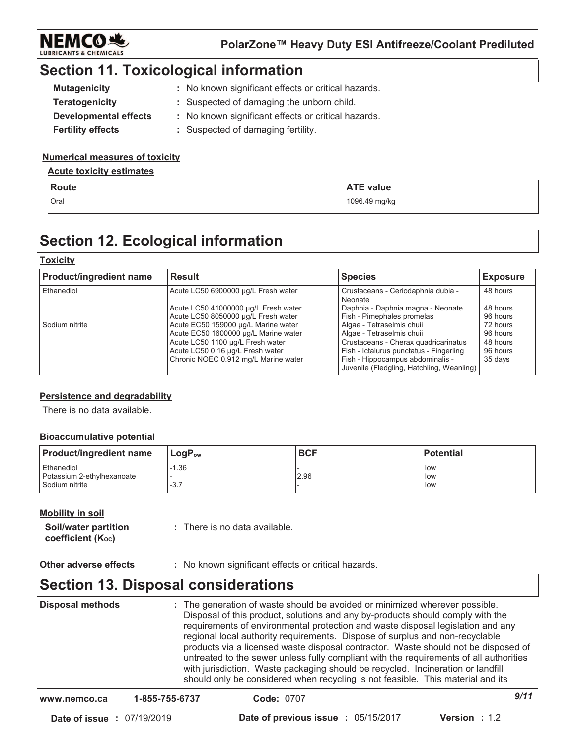

### **Section 11. Toxicological information**

| <b>Mutagenicity</b>          | : No known significant effects or critical hazards. |
|------------------------------|-----------------------------------------------------|
| Teratogenicity               | : Suspected of damaging the unborn child.           |
| <b>Developmental effects</b> | : No known significant effects or critical hazards. |
| <b>Fertility effects</b>     | : Suspected of damaging fertility.                  |

#### **Numerical measures of toxicity**

#### **Acute toxicity estimates**

| Route | <b>ATE value</b> |
|-------|------------------|
| Oral  | 1096.49 mg/kg    |

### **Section 12. Ecological information**

#### **Toxicity**

| <b>Product/ingredient name</b> | <b>Result</b>                                                                                                                                                                                                                                                              | <b>Species</b>                                                                                                                                                                                                                                                                                | <b>Exposure</b>                                                                 |
|--------------------------------|----------------------------------------------------------------------------------------------------------------------------------------------------------------------------------------------------------------------------------------------------------------------------|-----------------------------------------------------------------------------------------------------------------------------------------------------------------------------------------------------------------------------------------------------------------------------------------------|---------------------------------------------------------------------------------|
| Ethanediol                     | Acute LC50 6900000 µg/L Fresh water                                                                                                                                                                                                                                        | Crustaceans - Ceriodaphnia dubia -<br>Neonate                                                                                                                                                                                                                                                 | 48 hours                                                                        |
| Sodium nitrite                 | Acute LC50 41000000 µg/L Fresh water<br>Acute LC50 8050000 µg/L Fresh water<br>Acute EC50 159000 µg/L Marine water<br>Acute EC50 1600000 µg/L Marine water<br>Acute LC50 1100 µg/L Fresh water<br>Acute LC50 0.16 µg/L Fresh water<br>Chronic NOEC 0.912 mg/L Marine water | Daphnia - Daphnia magna - Neonate<br>Fish - Pimephales promelas<br>Algae - Tetraselmis chuii<br>Algae - Tetraselmis chuii<br>Crustaceans - Cherax quadricarinatus<br>Fish - Ictalurus punctatus - Fingerling<br>Fish - Hippocampus abdominalis -<br>Juvenile (Fledgling, Hatchling, Weanling) | 48 hours<br>96 hours<br>72 hours<br>96 hours<br>48 hours<br>96 hours<br>35 days |

#### **Persistence and degradability**

There is no data available.

#### **Bioaccumulative potential**

| <b>Product/ingredient name</b> | ⊺LoqP <sub>ow</sub> | <b>BCF</b> | <b>Potential</b> |
|--------------------------------|---------------------|------------|------------------|
| Ethanediol                     | -1.36               |            | low              |
| Potassium 2-ethylhexanoate     |                     | 2.96       | low              |
| Sodium nitrite                 | $-3.7$              |            | low              |

#### **Mobility in soil**

Soil/water partition : There is no data available. coefficient (Koc)

Other adverse effects : No known significant effects or critical hazards.

### **Section 13. Disposal considerations**

**Disposal methods** : The generation of waste should be avoided or minimized wherever possible. Disposal of this product, solutions and any by-products should comply with the requirements of environmental protection and waste disposal legislation and any regional local authority requirements. Dispose of surplus and non-recyclable products via a licensed waste disposal contractor. Waste should not be disposed of untreated to the sewer unless fully compliant with the requirements of all authorities with jurisdiction. Waste packaging should be recycled. Incineration or landfill should only be considered when recycling is not feasible. This material and its  $9/11$ Code: 0707 1-855-755-6737 www.nemco.ca Date of issue : 07/19/2019 Date of previous issue : 05/15/2017 Version: 1.2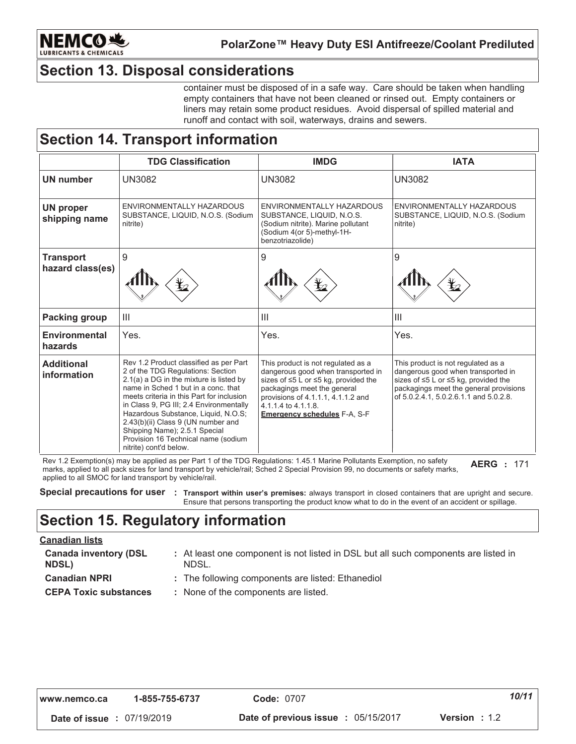

### **Section 13. Disposal considerations**

container must be disposed of in a safe way. Care should be taken when handling empty containers that have not been cleaned or rinsed out. Empty containers or liners may retain some product residues. Avoid dispersal of spilled material and runoff and contact with soil, waterways, drains and sewers.

### **Section 14. Transport information**

|                                      | <b>TDG Classification</b>                                                                                                                                                                                                                                                                                                                                                                                                                                                                                                      | <b>IMDG</b>                                                                                                                                                                                                                                         | <b>IATA</b>                                                                                                                                                                                          |
|--------------------------------------|--------------------------------------------------------------------------------------------------------------------------------------------------------------------------------------------------------------------------------------------------------------------------------------------------------------------------------------------------------------------------------------------------------------------------------------------------------------------------------------------------------------------------------|-----------------------------------------------------------------------------------------------------------------------------------------------------------------------------------------------------------------------------------------------------|------------------------------------------------------------------------------------------------------------------------------------------------------------------------------------------------------|
| <b>UN number</b>                     | <b>UN3082</b>                                                                                                                                                                                                                                                                                                                                                                                                                                                                                                                  | <b>UN3082</b>                                                                                                                                                                                                                                       | <b>UN3082</b>                                                                                                                                                                                        |
| <b>UN proper</b><br>shipping name    | ENVIRONMENTALLY HAZARDOUS<br>SUBSTANCE, LIQUID, N.O.S. (Sodium<br>nitrite)                                                                                                                                                                                                                                                                                                                                                                                                                                                     | ENVIRONMENTALLY HAZARDOUS<br>SUBSTANCE, LIQUID, N.O.S.<br>(Sodium nitrite). Marine pollutant<br>(Sodium 4(or 5)-methyl-1H-<br>benzotriazolide)                                                                                                      | ENVIRONMENTALLY HAZARDOUS<br>SUBSTANCE, LIQUID, N.O.S. (Sodium<br>nitrite)                                                                                                                           |
| <b>Transport</b><br>hazard class(es) | 9                                                                                                                                                                                                                                                                                                                                                                                                                                                                                                                              | 9<br>$\frac{1}{2}$                                                                                                                                                                                                                                  | 9<br>t                                                                                                                                                                                               |
| Packing group                        | Ш                                                                                                                                                                                                                                                                                                                                                                                                                                                                                                                              | $\mathbf{III}$                                                                                                                                                                                                                                      | Ш                                                                                                                                                                                                    |
| <b>Environmental</b><br>hazards      | Yes.                                                                                                                                                                                                                                                                                                                                                                                                                                                                                                                           | Yes.                                                                                                                                                                                                                                                | Yes.                                                                                                                                                                                                 |
| <b>Additional</b><br>information     | Rev 1.2 Product classified as per Part<br>2 of the TDG Regulations: Section<br>2.1(a) a DG in the mixture is listed by<br>name in Sched 1 but in a conc. that<br>meets criteria in this Part for inclusion<br>in Class 9, PG III; 2.4 Environmentally<br>Hazardous Substance, Liquid, N.O.S;<br>2.43(b)(ii) Class 9 (UN number and<br>Shipping Name); 2.5.1 Special<br>Provision 16 Technical name (sodium<br>nitrite) cont'd below.<br>$\sim$ Deal 4 of the TDO Department 4 of 4 Mexico Dellate at $\sim$ December 10 $\sim$ | This product is not regulated as a<br>dangerous good when transported in<br>sizes of ≤5 L or ≤5 kg, provided the<br>packagings meet the general<br>provisions of 4.1.1.1, 4.1.1.2 and<br>4.1.1.4 to 4.1.1.8.<br><b>Emergency schedules F-A, S-F</b> | This product is not regulated as a<br>dangerous good when transported in<br>sizes of ≤5 L or ≤5 kg, provided the<br>packagings meet the general provisions<br>of 5.0.2.4.1, 5.0.2.6.1.1 and 5.0.2.8. |

Rev 1.2 Exemption(s) may be applied as per Part 1 of the TDG Regulations: 1.45.1 Marine Pollutants Exemption, no safety **AERG** : 171 marks, applied to all pack sizes for land transport by vehicle/rail; Sched 2 Special Provision 99, no documents or safety marks, applied to all SMOC for land transport by vehicle/rail.

Special precautions for user : Transport within user's premises: always transport in closed containers that are upright and secure. Ensure that persons transporting the product know what to do in the event of an accident or spillage.

### **Section 15. Regulatory information**

#### **Canadian lists**

| <b>Canada inventory (DSL</b><br><b>NDSL)</b> | : At least one component is not listed in DSL but all such components are listed in<br>NDSL. |
|----------------------------------------------|----------------------------------------------------------------------------------------------|
| <b>Canadian NPRI</b>                         | : The following components are listed: Ethanediol                                            |
| <b>CEPA Toxic substances</b>                 | : None of the components are listed.                                                         |

| www.nemco.ca | 1-855-755-6737 |
|--------------|----------------|
|--------------|----------------|

 $10/11$ 

Date of issue : 07/19/2019

Date of previous issue : 05/15/2017